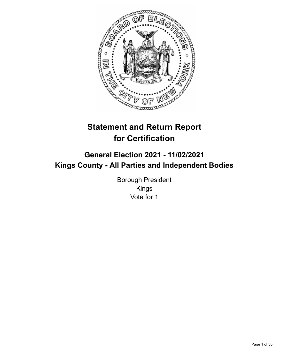

# **Statement and Return Report for Certification**

## **General Election 2021 - 11/02/2021 Kings County - All Parties and Independent Bodies**

Borough President Kings Vote for 1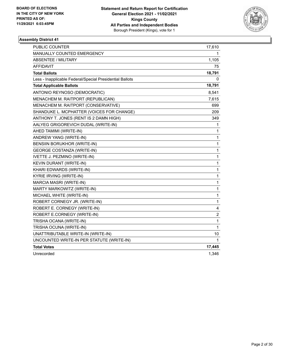

| PUBLIC COUNTER                                           | 17,610                  |
|----------------------------------------------------------|-------------------------|
| <b>MANUALLY COUNTED EMERGENCY</b>                        | 1.                      |
| ABSENTEE / MILITARY                                      | 1,105                   |
| AFFIDAVIT                                                | 75                      |
| <b>Total Ballots</b>                                     | 18,791                  |
| Less - Inapplicable Federal/Special Presidential Ballots | 0                       |
| <b>Total Applicable Ballots</b>                          | 18,791                  |
| ANTONIO REYNOSO (DEMOCRATIC)                             | 8,541                   |
| MENACHEM M. RAITPORT (REPUBLICAN)                        | 7,615                   |
| MENACHEM M. RAITPORT (CONSERVATIVE)                      | 699                     |
| SHANDUKE L. MCPHATTER (VOICES FOR CHANGE)                | 209                     |
| ANTHONY T. JONES (RENT IS 2 DAMN HIGH)                   | 349                     |
| AALYEG GRIGOREVICH DUDAL (WRITE-IN)                      | 1                       |
| AHED TAMIMI (WRITE-IN)                                   | 1                       |
| ANDREW YANG (WRITE-IN)                                   | 1                       |
| <b>BENSIIN BORUKHOR (WRITE-IN)</b>                       | 1                       |
| <b>GEORGE COSTANZA (WRITE-IN)</b>                        | 1                       |
| IVETTE J. PEZMINO (WRITE-IN)                             | 1                       |
| KEVIN DURANT (WRITE-IN)                                  | $\mathbf{1}$            |
| KHARI EDWARDS (WRITE-IN)                                 | 1                       |
| KYRIE IRVING (WRITE-IN)                                  | $\mathbf{1}$            |
| MARCIA MASRI (WRITE-IN)                                  | 1                       |
| MARTY MARKOWITZ (WRITE-IN)                               | 1                       |
| MICHAEL WHITE (WRITE-IN)                                 | $\mathbf{1}$            |
| ROBERT CORNEGY JR. (WRITE-IN)                            | $\mathbf{1}$            |
| ROBERT E. CORNEGY (WRITE-IN)                             | 4                       |
| ROBERT E.CORNEGY (WRITE-IN)                              | $\overline{\mathbf{c}}$ |
| TRISHA OCANA (WRITE-IN)                                  | 1                       |
| TRISHA OCUNA (WRITE-IN)                                  | $\mathbf 1$             |
| UNATTRIBUTABLE WRITE-IN (WRITE-IN)                       | 10                      |
| UNCOUNTED WRITE-IN PER STATUTE (WRITE-IN)                | 1                       |
| <b>Total Votes</b>                                       | 17,445                  |
| Unrecorded                                               | 1,346                   |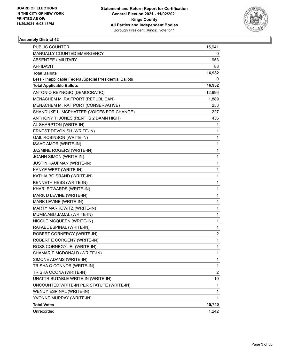

| PUBLIC COUNTER                                           | 15,941         |
|----------------------------------------------------------|----------------|
| MANUALLY COUNTED EMERGENCY                               | 0              |
| <b>ABSENTEE / MILITARY</b>                               | 953            |
| AFFIDAVIT                                                | 88             |
| <b>Total Ballots</b>                                     | 16,982         |
| Less - Inapplicable Federal/Special Presidential Ballots | 0              |
| <b>Total Applicable Ballots</b>                          | 16,982         |
| ANTONIO REYNOSO (DEMOCRATIC)                             | 12,896         |
| MENACHEM M. RAITPORT (REPUBLICAN)                        | 1,889          |
| MENACHEM M. RAITPORT (CONSERVATIVE)                      | 253            |
| SHANDUKE L. MCPHATTER (VOICES FOR CHANGE)                | 227            |
| ANTHONY T. JONES (RENT IS 2 DAMN HIGH)                   | 436            |
| AL SHARPTON (WRITE-IN)                                   | 1              |
| ERNEST DEVONISH (WRITE-IN)                               | 1              |
| <b>GAIL ROBINSON (WRITE-IN)</b>                          | 1              |
| <b>ISAAC AMOR (WRITE-IN)</b>                             | 1              |
| JASMINE ROGERS (WRITE-IN)                                | 1              |
| JOANN SIMON (WRITE-IN)                                   | 1              |
| JUSTIN KAUFMAN (WRITE-IN)                                | 1              |
| KANYE WEST (WRITE-IN)                                    | 1              |
| KATHIA BOISRAND (WRITE-IN)                               | 1              |
| KENNETH HESS (WRITE-IN)                                  | 1              |
| KHARI EDWARDS (WRITE-IN)                                 | 1              |
| MARK D LEVINE (WRITE-IN)                                 | 1              |
| MARK LEVINE (WRITE-IN)                                   | 1              |
| MARTY MARKOWITZ (WRITE-IN)                               | 1              |
| MUMIA ABU JAMAL (WRITE-IN)                               | 1              |
| NICOLE MCQUEEN (WRITE-IN)                                | 1              |
| RAFAEL ESPINAL (WRITE-IN)                                | 1              |
| ROBERT CORNERGY (WRITE-IN)                               | 2              |
| ROBERT E CORGENY (WRITE-IN)                              | $\mathbf{1}$   |
| ROSS CORNEGY JR. (WRITE-IN)                              | $\mathbf{1}$   |
| SHAMARIE MCDONALD (WRITE-IN)                             | 1              |
| SIMONE ADAMS (WRITE-IN)                                  | 1              |
| TRISHA O CONNOR (WRITE-IN)                               | 1              |
| TRISHA OCONA (WRITE-IN)                                  | $\overline{c}$ |
| UNATTRIBUTABLE WRITE-IN (WRITE-IN)                       | 10             |
| UNCOUNTED WRITE-IN PER STATUTE (WRITE-IN)                | 1              |
| WENDY ESPINAL (WRITE-IN)                                 | 1              |
| YVONNE MURRAY (WRITE-IN)                                 | 1              |
| <b>Total Votes</b>                                       | 15,740         |
| Unrecorded                                               | 1,242          |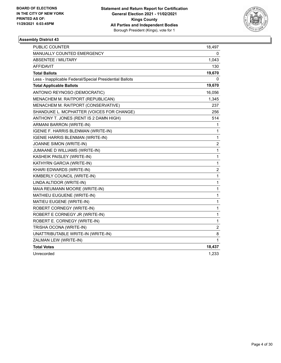

| PUBLIC COUNTER                                           | 18,497         |
|----------------------------------------------------------|----------------|
| MANUALLY COUNTED EMERGENCY                               | 0              |
| <b>ABSENTEE / MILITARY</b>                               | 1,043          |
| AFFIDAVIT                                                | 130            |
| <b>Total Ballots</b>                                     | 19,670         |
| Less - Inapplicable Federal/Special Presidential Ballots | 0              |
| <b>Total Applicable Ballots</b>                          | 19,670         |
| ANTONIO REYNOSO (DEMOCRATIC)                             | 16,056         |
| MENACHEM M. RAITPORT (REPUBLICAN)                        | 1,345          |
| MENACHEM M. RAITPORT (CONSERVATIVE)                      | 237            |
| SHANDUKE L. MCPHATTER (VOICES FOR CHANGE)                | 256            |
| ANTHONY T. JONES (RENT IS 2 DAMN HIGH)                   | 514            |
| ARMANI BARRON (WRITE-IN)                                 | 1              |
| IGENIE F. HARRIS BLENMAN (WRITE-IN)                      | 1              |
| IGENIE HARRIS BLENMAN (WRITE-IN)                         | 1              |
| JOANNE SIMON (WRITE-IN)                                  | $\overline{2}$ |
| JUMAANE D WILLIAMS (WRITE-IN)                            | 1              |
| KASHEIK PAISLEY (WRITE-IN)                               | $\mathbf{1}$   |
| KATHYRN GARCIA (WRITE-IN)                                | 1              |
| KHARI EDWARDS (WRITE-IN)                                 | $\overline{c}$ |
| KIMBERLY COUNCIL (WRITE-IN)                              | 1              |
| LINDA ALTIDOR (WRITE-IN)                                 | 1              |
| MAIA REUMANN MOORE (WRITE-IN)                            | 1              |
| MATHIEU EUGUENE (WRITE-IN)                               | 1              |
| MATIEU EUGENE (WRITE-IN)                                 | 1              |
| ROBERT CORNEGY (WRITE-IN)                                | 1              |
| ROBERT E CORNEGY JR (WRITE-IN)                           | 1              |
| ROBERT E. CORNEGY (WRITE-IN)                             | $\mathbf{1}$   |
| TRISHA OCONA (WRITE-IN)                                  | 2              |
| UNATTRIBUTABLE WRITE-IN (WRITE-IN)                       | 8              |
| ZALMAN LEW (WRITE-IN)                                    | 1              |
| <b>Total Votes</b>                                       | 18,437         |
| Unrecorded                                               | 1,233          |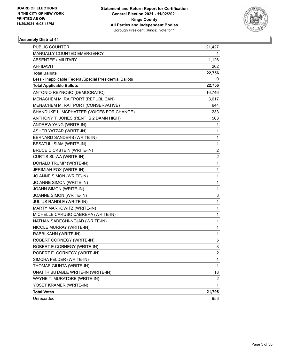

| <b>PUBLIC COUNTER</b>                                    | 21,427 |
|----------------------------------------------------------|--------|
| MANUALLY COUNTED EMERGENCY                               |        |
| ABSENTEE / MILITARY                                      | 1,126  |
| AFFIDAVIT                                                | 202    |
| <b>Total Ballots</b>                                     | 22,756 |
| Less - Inapplicable Federal/Special Presidential Ballots | 0      |
| <b>Total Applicable Ballots</b>                          | 22,756 |
| ANTONIO REYNOSO (DEMOCRATIC)                             | 16,746 |
| MENACHEM M. RAITPORT (REPUBLICAN)                        | 3,617  |
| MENACHEM M. RAITPORT (CONSERVATIVE)                      | 644    |
| SHANDUKE L. MCPHATTER (VOICES FOR CHANGE)                | 233    |
| ANTHONY T. JONES (RENT IS 2 DAMN HIGH)                   | 503    |
| ANDREW YANG (WRITE-IN)                                   | 1      |
| ASHER YATZAR (WRITE-IN)                                  | 1      |
| BERNARD SANDERS (WRITE-IN)                               | 1      |
| BESATUL ISIAM (WRITE-IN)                                 | 1      |
| <b>BRUCE DICKSTEIN (WRITE-IN)</b>                        | 2      |
| CURTIS SLIWA (WRITE-IN)                                  | 2      |
| DONALD TRUMP (WRITE-IN)                                  | 1      |
| JERIMIAH FOX (WRITE-IN)                                  | 1      |
| JO ANNE SIMON (WRITE-IN)                                 | 1      |
| JO.ANNE SIMON (WRITE-IN)                                 | 1      |
| JOANN SIMON (WRITE-IN)                                   | 1      |
| JOANNE SIMON (WRITE-IN)                                  | 3      |
| JULIUS RANDLE (WRITE-IN)                                 | 1      |
| MARTY MARKOWITZ (WRITE-IN)                               | 1      |
| MICHELLE CARUSO CABRERA (WRITE-IN)                       | 1      |
| NATHAN SADEGHI-NEJAD (WRITE-IN)                          | 1      |
| NICOLE MURRAY (WRITE-IN)                                 | 1      |
| RABBI KAHN (WRITE-IN)                                    | 1      |
| ROBERT CORNEGY (WRITE-IN)                                | 5      |
| ROBERT E CORNEGY (WRITE-IN)                              | 3      |
| ROBERT E. CORNEGY (WRITE-IN)                             | 2      |
| SIMCHA FELDER (WRITE-IN)                                 | 1      |
| THOMAS GIUNTA (WRITE-IN)                                 | 1      |
| UNATTRIBUTABLE WRITE-IN (WRITE-IN)                       | 18     |
| WAYNE T. MURATORE (WRITE-IN)                             | 2      |
| YOSET KRAMER (WRITE-IN)                                  | 1      |
| <b>Total Votes</b>                                       | 21,798 |
| Unrecorded                                               | 958    |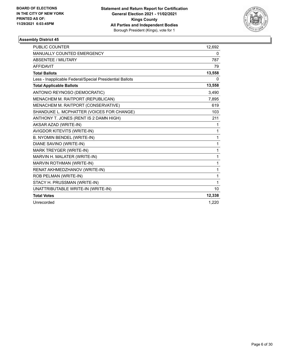

| <b>PUBLIC COUNTER</b>                                    | 12,692 |
|----------------------------------------------------------|--------|
| MANUALLY COUNTED EMERGENCY                               | 0      |
| ABSENTEE / MILITARY                                      | 787    |
| <b>AFFIDAVIT</b>                                         | 79     |
| <b>Total Ballots</b>                                     | 13,558 |
| Less - Inapplicable Federal/Special Presidential Ballots | 0      |
| <b>Total Applicable Ballots</b>                          | 13,558 |
| ANTONIO REYNOSO (DEMOCRATIC)                             | 3,490  |
| MENACHEM M. RAITPORT (REPUBLICAN)                        | 7,895  |
| MENACHEM M. RAITPORT (CONSERVATIVE)                      | 619    |
| SHANDUKE L. MCPHATTER (VOICES FOR CHANGE)                | 103    |
| ANTHONY T. JONES (RENT IS 2 DAMN HIGH)                   | 211    |
| AKSAR AZAD (WRITE-IN)                                    | 1      |
| AVIGDOR KITEVITS (WRITE-IN)                              | 1      |
| B. NYOMIN BENDEL (WRITE-IN)                              | 1      |
| DIANE SAVINO (WRITE-IN)                                  | 1      |
| MARK TREYGER (WRITE-IN)                                  | 1      |
| MARVIN H. MALATER (WRITE-IN)                             | 1      |
| MARVIN ROTHMAN (WRITE-IN)                                | 1      |
| RENAT AKHMEDZHANOV (WRITE-IN)                            | 1      |
| ROB PELMAN (WRITE-IN)                                    | 1      |
| STACY H. PRUSSMAN (WRITE-IN)                             | 1      |
| UNATTRIBUTABLE WRITE-IN (WRITE-IN)                       | 10     |
| <b>Total Votes</b>                                       | 12,338 |
| Unrecorded                                               | 1,220  |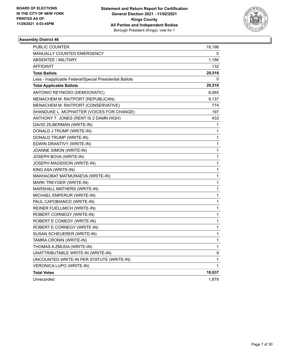

| PUBLIC COUNTER                                           | 19,198 |
|----------------------------------------------------------|--------|
| <b>MANUALLY COUNTED EMERGENCY</b>                        | 0      |
| <b>ABSENTEE / MILITARY</b>                               | 1,186  |
| AFFIDAVIT                                                | 132    |
| <b>Total Ballots</b>                                     | 20,516 |
| Less - Inapplicable Federal/Special Presidential Ballots | 0      |
| <b>Total Applicable Ballots</b>                          | 20,516 |
| ANTONIO REYNOSO (DEMOCRATIC)                             | 8,065  |
| MENACHEM M. RAITPORT (REPUBLICAN)                        | 9,137  |
| MENACHEM M. RAITPORT (CONSERVATIVE)                      | 774    |
| SHANDUKE L. MCPHATTER (VOICES FOR CHANGE)                | 197    |
| ANTHONY T. JONES (RENT IS 2 DAMN HIGH)                   | 433    |
| DAVID ZILBERMAN (WRITE-IN)                               | 1      |
| DONALD J TRUMP (WRITE-IN)                                | 1      |
| DONALD TRUMP (WRITE-IN)                                  | 1      |
| EDWIN DRANTIVY (WRITE-IN)                                | 1      |
| JOANNE SIMON (WRITE-IN)                                  | 1      |
| JOSEPH BOVA (WRITE-IN)                                   | 1      |
| JOSEPH MAGIDSON (WRITE-IN)                               | 1      |
| KING ASA (WRITE-IN)                                      | 1      |
| MAKHAOBAT MATMURAEVA (WRITE-IN)                          | 1      |
| MARK TREYGER (WRITE-IN)                                  | 1      |
| MARSHALL MATHERS (WRITE-IN)                              | 1      |
| MICHAEL EMPERUR (WRITE-IN)                               | 1      |
| PAUL CAPOBIANCO (WRITE-IN)                               | 1      |
| REINER FUELLMICH (WRITE-IN)                              | 1      |
| ROBERT CORNEGY (WRITE-IN)                                | 1      |
| ROBERT E COMEGY (WRITE-IN)                               | 1      |
| ROBERT E.CORNEGY (WRITE-IN)                              | 1      |
| SUSAN SCHEUERER (WRITE-IN)                               | 1      |
| TAMRA CRONIN (WRITE-IN)                                  | 1      |
| THOMAS A ZMUDA (WRITE-IN)                                | 1      |
| UNATTRIBUTABLE WRITE-IN (WRITE-IN)                       | 9      |
| UNCOUNTED WRITE-IN PER STATUTE (WRITE-IN)                | 1      |
| VERONICA LUPO (WRITE-IN)                                 | 1      |
| <b>Total Votes</b>                                       | 18,637 |
| Unrecorded                                               | 1,879  |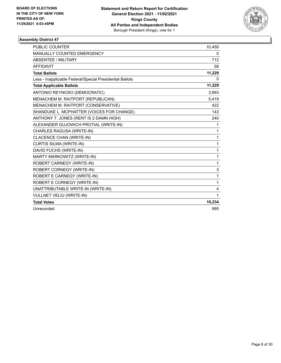

| <b>PUBLIC COUNTER</b>                                    | 10,459 |
|----------------------------------------------------------|--------|
| MANUALLY COUNTED EMERGENCY                               | 0      |
| <b>ABSENTEE / MILITARY</b>                               | 712    |
| <b>AFFIDAVIT</b>                                         | 58     |
| <b>Total Ballots</b>                                     | 11,229 |
| Less - Inapplicable Federal/Special Presidential Ballots | 0      |
| <b>Total Applicable Ballots</b>                          | 11,229 |
| ANTONIO REYNOSO (DEMOCRATIC)                             | 3,993  |
| MENACHEM M. RAITPORT (REPUBLICAN)                        | 5,419  |
| MENACHEM M. RAITPORT (CONSERVATIVE)                      | 422    |
| SHANDUKE L. MCPHATTER (VOICES FOR CHANGE)                | 143    |
| ANTHONY T. JONES (RENT IS 2 DAMN HIGH)                   | 240    |
| ALEXANDER GUJOWICH PROTIAL (WRITE-IN)                    | 1      |
| CHARLES RAGUSA (WRITE-IN)                                | 1      |
| CLACENCE CHAN (WRITE-IN)                                 | 1      |
| CURTIS SILWA (WRITE-IN)                                  | 1      |
| DAVID FUCHS (WRITE-IN)                                   | 1      |
| MARTY MARKOWITZ (WRITE-IN)                               | 1      |
| ROBERT CARNEGY (WRITE-IN)                                | 1      |
| ROBERT CORNEGY (WRITE-IN)                                | 3      |
| ROBERT E CARNEGY (WRITE-IN)                              | 1      |
| ROBERT E CORNEGY (WRITE-IN)                              | 1      |
| UNATTRIBUTABLE WRITE-IN (WRITE-IN)                       | 4      |
| <b>VULLNET VELIU (WRITE-IN)</b>                          | 1      |
| <b>Total Votes</b>                                       | 10,234 |
| Unrecorded                                               | 995    |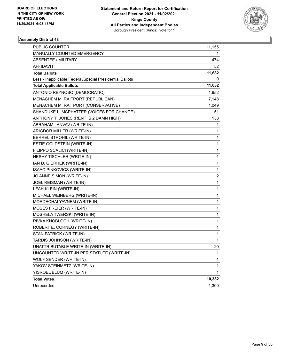

| <b>PUBLIC COUNTER</b>                                    | 11,155                  |
|----------------------------------------------------------|-------------------------|
| MANUALLY COUNTED EMERGENCY                               | 1                       |
| <b>ABSENTEE / MILITARY</b>                               | 474                     |
| AFFIDAVIT                                                | 52                      |
| <b>Total Ballots</b>                                     | 11,682                  |
| Less - Inapplicable Federal/Special Presidential Ballots | 0                       |
| <b>Total Applicable Ballots</b>                          | 11,682                  |
| ANTONIO REYNOSO (DEMOCRATIC)                             | 1,952                   |
| MENACHEM M. RAITPORT (REPUBLICAN)                        | 7,148                   |
| MENACHEM M. RAITPORT (CONSERVATIVE)                      | 1,049                   |
| SHANDUKE L. MCPHATTER (VOICES FOR CHANGE)                | 51                      |
| ANTHONY T. JONES (RENT IS 2 DAMN HIGH)                   | 138                     |
| ABRAHAM LANVAV (WRITE-IN)                                | 1                       |
| ARIGDOR MILLER (WRITE-IN)                                | 1                       |
| <b>BERREL STROHIL (WRITE-IN)</b>                         | 1                       |
| ESTIE GOLDSTEIN (WRITE-IN)                               | $\mathbf 1$             |
| FILIPPO SCALICI (WRITE-IN)                               | 1                       |
| HESHY TISCHLER (WRITE-IN)                                | 1                       |
| IAN D. GIERHEK (WRITE-IN)                                | $\mathbf 1$             |
| ISAAC PINKOVICS (WRITE-IN)                               | $\mathbf{1}$            |
| JO ANNE SIMON (WRITE-IN)                                 | $\overline{\mathbf{c}}$ |
| JOEL REISMAN (WRITE-IN)                                  | $\mathbf 1$             |
| LEAH KLEIN (WRITE-IN)                                    | 1                       |
| MICHAEL WEINBERG (WRITE-IN)                              | 1                       |
| MORDECHAI YAVNEM (WRITE-IN)                              | $\mathbf 1$             |
| MOSES FREIER (WRITE-IN)                                  | $\mathbf{1}$            |
| MOSHELA TWERSKI (WRITE-IN)                               | 1                       |
| RIVKA KNOBLOCH (WRITE-IN)                                | $\mathbf 1$             |
| ROBERT E. CORNEGY (WRITE-IN)                             | 1                       |
| STAN PATRICK (WRITE-IN)                                  | 1                       |
| TARDIS JOHNSON (WRITE-IN)                                | 1                       |
| UNATTRIBUTABLE WRITE-IN (WRITE-IN)                       | 20                      |
| UNCOUNTED WRITE-IN PER STATUTE (WRITE-IN)                | 1                       |
| WOLF SENDER (WRITE-IN)                                   | 1                       |
| YAKOV STEINMETZ (WRITE-IN)                               | 1                       |
| YISROEL BLUM (WRITE-IN)                                  | 1                       |
| <b>Total Votes</b>                                       | 10,382                  |
| Unrecorded                                               | 1,300                   |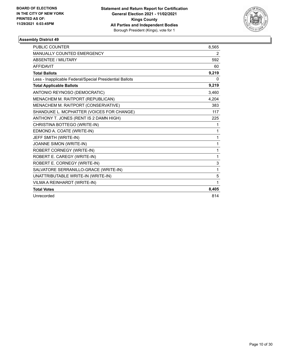

| <b>PUBLIC COUNTER</b>                                    | 8,565        |
|----------------------------------------------------------|--------------|
| <b>MANUALLY COUNTED EMERGENCY</b>                        | 2            |
| <b>ABSENTEE / MILITARY</b>                               | 592          |
| <b>AFFIDAVIT</b>                                         | 60           |
| <b>Total Ballots</b>                                     | 9,219        |
| Less - Inapplicable Federal/Special Presidential Ballots | $\Omega$     |
| <b>Total Applicable Ballots</b>                          | 9,219        |
| ANTONIO REYNOSO (DEMOCRATIC)                             | 3,460        |
| MENACHEM M. RAITPORT (REPUBLICAN)                        | 4,204        |
| MENACHEM M. RAITPORT (CONSERVATIVE)                      | 383          |
| SHANDUKE L. MCPHATTER (VOICES FOR CHANGE)                | 117          |
| ANTHONY T. JONES (RENT IS 2 DAMN HIGH)                   | 225          |
| CHRISTINA BOTTEGO (WRITE-IN)                             | 1            |
| EDMOND A. COATE (WRITE-IN)                               | 1            |
| JEFF SMITH (WRITE-IN)                                    | 1            |
| JOANNE SIMON (WRITE-IN)                                  | 1            |
| ROBERT CORNEGY (WRITE-IN)                                | 1            |
| ROBERT E. CAREGY (WRITE-IN)                              | $\mathbf{1}$ |
| ROBERT E. CORNEGY (WRITE-IN)                             | 3            |
| SALVATORE SERRANILLO-GRACE (WRITE-IN)                    | 1            |
| UNATTRIBUTABLE WRITE-IN (WRITE-IN)                       | 5            |
| VILMA A REINHARDT (WRITE-IN)                             | 1            |
| <b>Total Votes</b>                                       | 8,405        |
| Unrecorded                                               | 814          |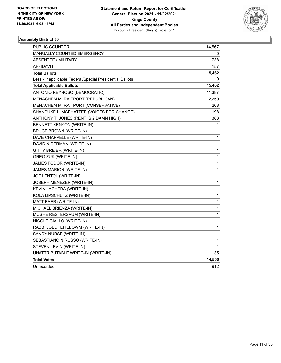

| <b>PUBLIC COUNTER</b>                                    | 14,567       |
|----------------------------------------------------------|--------------|
| <b>MANUALLY COUNTED EMERGENCY</b>                        | 0            |
| ABSENTEE / MILITARY                                      | 738          |
| <b>AFFIDAVIT</b>                                         | 157          |
| <b>Total Ballots</b>                                     | 15,462       |
| Less - Inapplicable Federal/Special Presidential Ballots | 0            |
| <b>Total Applicable Ballots</b>                          | 15,462       |
| ANTONIO REYNOSO (DEMOCRATIC)                             | 11,387       |
| MENACHEM M. RAITPORT (REPUBLICAN)                        | 2,259        |
| MENACHEM M. RAITPORT (CONSERVATIVE)                      | 268          |
| SHANDUKE L. MCPHATTER (VOICES FOR CHANGE)                | 198          |
| ANTHONY T. JONES (RENT IS 2 DAMN HIGH)                   | 383          |
| <b>BENNETT KENYON (WRITE-IN)</b>                         | 1            |
| <b>BRUCE BROWN (WRITE-IN)</b>                            | 1            |
| DAVE CHAPPELLE (WRITE-IN)                                | 1            |
| DAVID NIDERMAN (WRITE-IN)                                | 1            |
| GITTY BREIER (WRITE-IN)                                  | 1            |
| <b>GREG ZUK (WRITE-IN)</b>                               | 1            |
| JAMES FODOR (WRITE-IN)                                   | 1            |
| JAMES MARION (WRITE-IN)                                  | 1            |
| JOE LENTOL (WRITE-IN)                                    | 1            |
| JOSEPH MENEZER (WRITE-IN)                                | $\mathbf{1}$ |
| KEVIN LACHERA (WRITE-IN)                                 | 1            |
| KOLA LIPSCHUTZ (WRITE-IN)                                | 1            |
| MATT BAER (WRITE-IN)                                     | 1            |
| MICHAEL BRIENZA (WRITE-IN)                               | 1            |
| MOSHE RESTERSAUM (WRITE-IN)                              | 1            |
| NICOLE GIALLO (WRITE-IN)                                 | 1            |
| RABBI JOEL TEITLBOWM (WRITE-IN)                          | 1            |
| SANDY NURSE (WRITE-IN)                                   | 1            |
| SEBASTIANO N.RUSSO (WRITE-IN)                            | 1            |
| STEVEN LEVIN (WRITE-IN)                                  | 1            |
| UNATTRIBUTABLE WRITE-IN (WRITE-IN)                       | 35           |
| <b>Total Votes</b>                                       | 14,550       |
| Unrecorded                                               | 912          |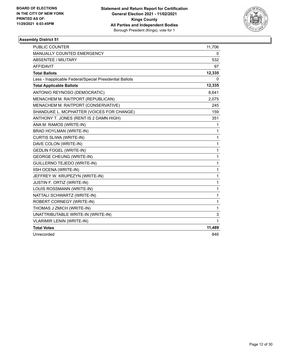

| <b>PUBLIC COUNTER</b>                                    | 11,706 |
|----------------------------------------------------------|--------|
| <b>MANUALLY COUNTED EMERGENCY</b>                        | 0      |
| <b>ABSENTEE / MILITARY</b>                               | 532    |
| <b>AFFIDAVIT</b>                                         | 97     |
| <b>Total Ballots</b>                                     | 12,335 |
| Less - Inapplicable Federal/Special Presidential Ballots | 0      |
| <b>Total Applicable Ballots</b>                          | 12,335 |
| ANTONIO REYNOSO (DEMOCRATIC)                             | 8,641  |
| MENACHEM M. RAITPORT (REPUBLICAN)                        | 2,075  |
| MENACHEM M. RAITPORT (CONSERVATIVE)                      | 245    |
| SHANDUKE L. MCPHATTER (VOICES FOR CHANGE)                | 159    |
| ANTHONY T. JONES (RENT IS 2 DAMN HIGH)                   | 351    |
| ANA M. RAMOS (WRITE-IN)                                  | 1      |
| <b>BRAD HOYLMAN (WRITE-IN)</b>                           | 1      |
| CURTIS SLIWA (WRITE-IN)                                  | 1      |
| DAVE COLON (WRITE-IN)                                    | 1      |
| <b>GEDLIN FOGEL (WRITE-IN)</b>                           | 1      |
| <b>GEORGE CHEUNG (WRITE-IN)</b>                          | 1      |
| GUILLERNO TEJEDO (WRITE-IN)                              | 1      |
| IISH OCENA (WRITE-IN)                                    | 1      |
| JEFFREY W. KRUPEZYN (WRITE-IN)                           | 1      |
| JUSTIN F. ORTIZ (WRITE-IN)                               | 1      |
| LOUIS ROSSMANN (WRITE-IN)                                | 1      |
| NATTALI SCHWARTZ (WRITE-IN)                              | 1      |
| ROBERT CORNEGY (WRITE-IN)                                | 1      |
| THOMAS J ZMICH (WRITE-IN)                                | 1      |
| UNATTRIBUTABLE WRITE-IN (WRITE-IN)                       | 3      |
| <b>VLARIMIR LENIN (WRITE-IN)</b>                         | 1      |
| <b>Total Votes</b>                                       | 11,489 |
| Unrecorded                                               | 846    |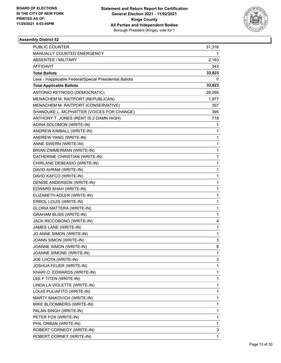

| PUBLIC COUNTER                                           | 31,316       |
|----------------------------------------------------------|--------------|
| MANUALLY COUNTED EMERGENCY                               | 1.           |
| ABSENTEE / MILITARY                                      | 2,163        |
| AFFIDAVIT                                                | 343          |
| <b>Total Ballots</b>                                     | 33,823       |
| Less - Inapplicable Federal/Special Presidential Ballots | 0            |
| <b>Total Applicable Ballots</b>                          | 33,823       |
| ANTONIO REYNOSO (DEMOCRATIC)                             | 29,265       |
| MENACHEM M. RAITPORT (REPUBLICAN)                        | 1,977        |
| MENACHEM M. RAITPORT (CONSERVATIVE)                      | 307          |
| SHANDUKE L. MCPHATTER (VOICES FOR CHANGE)                | 395          |
| ANTHONY T. JONES (RENT IS 2 DAMN HIGH)                   | 718          |
| ADINA SOLOMON (WRITE-IN)                                 | 1            |
| ANDREW KIMBALL (WRITE-IN)                                | 1            |
| ANDREW YANG (WRITE-IN)                                   | 1            |
| ANNE SWERN (WRITE-IN)                                    | 1            |
| BRIAN ZIMMERMAN (WRITE-IN)                               | 1            |
| CATHERINE CHRISTIAN (WRITE-IN)                           | 1            |
| CHIRLANE DEBEASIO (WRITE-IN)                             | 1            |
| DAVID AVRAM (WRITE-IN)                                   | 1            |
| DAVID KAFCO (WRITE-IN)                                   | 1            |
| DENISE ANDERSON (WRITE-IN)                               | 1            |
| EDWARD SHAH (WRITE-IN)                                   | 1            |
| ELIZABETH ADLER (WRITE-IN)                               | $\mathbf{1}$ |
| ERROL LOUIS (WRITE-IN)                                   | 1            |
| <b>GLORIA MATTERA (WRITE-IN)</b>                         | 1            |
| <b>GRAHAM BLISS (WRITE-IN)</b>                           | 1            |
| JACK RICCOBONO (WRITE-IN)                                | 4            |
| JAMES LANE (WRITE-IN)                                    | 1            |
| JO ANNE SIMON (WRITE-IN)                                 | 1            |
| JOANN SIMON (WRITE-IN)                                   | 3            |
| JOANNE SIMON (WRITE-IN)                                  | 8            |
| JOANNE SIMONE (WRITE-IN)                                 | 1            |
| JOE LHOTA (WRITE-IN)                                     | 3            |
| JOSHUA FEUER (WRITE-IN)                                  | 1            |
| KHARI O. EDWARDS (WRITE-IN)                              | 1            |
| LEE F TITEN (WRITE-IN)                                   | 1            |
| LINDA LA VIOLETTE (WRITE-IN)                             | 1            |
| LOUIS PULIAFITO (WRITE-IN)                               | 1            |
| MARTY MAKOVICH (WRITE-IN)                                | 1            |
| MIKE BLOOMBERG (WRITE-IN)                                | 1            |
| PALAN SINGH (WRITE-IN)                                   | 1            |
| PETER FOX (WRITE-IN)                                     | 1            |
| PHIL ORBAN (WRITE-IN)                                    | 1            |
| ROBERT CORNEGY (WRITE-IN)                                | 3            |
| ROBERT CORNEY (WRITE-IN)                                 | 1            |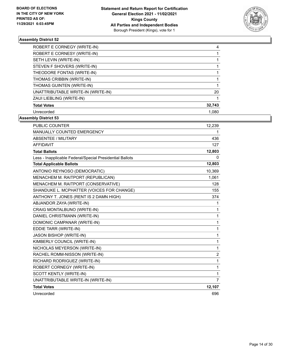

| ROBERT E CORNEGY (WRITE-IN)        | 4      |
|------------------------------------|--------|
| ROBERT E CORNESY (WRITE-IN)        |        |
| SETH LEVIN (WRITE-IN)              |        |
| STEVEN F SHOVERS (WRITE-IN)        |        |
| THEODORE FONTAS (WRITE-IN)         |        |
| THOMAS CRIBBIN (WRITE-IN)          |        |
| THOMAS GUINTEN (WRITE-IN)          |        |
| UNATTRIBUTABLE WRITE-IN (WRITE-IN) | 20     |
| ZAUI LIEBLING (WRITE-IN)           |        |
| <b>Total Votes</b>                 | 32,743 |
| Unrecorded                         | 1.080  |

| <b>PUBLIC COUNTER</b>                                    | 12,239         |
|----------------------------------------------------------|----------------|
| MANUALLY COUNTED EMERGENCY                               | 1              |
| <b>ABSENTEE / MILITARY</b>                               | 436            |
| <b>AFFIDAVIT</b>                                         | 127            |
| <b>Total Ballots</b>                                     | 12,803         |
| Less - Inapplicable Federal/Special Presidential Ballots | 0              |
| <b>Total Applicable Ballots</b>                          | 12,803         |
| ANTONIO REYNOSO (DEMOCRATIC)                             | 10,369         |
| MENACHEM M. RAITPORT (REPUBLICAN)                        | 1,061          |
| MENACHEM M. RAITPORT (CONSERVATIVE)                      | 128            |
| SHANDUKE L. MCPHATTER (VOICES FOR CHANGE)                | 155            |
| ANTHONY T. JONES (RENT IS 2 DAMN HIGH)                   | 374            |
| ABJANDOR ZAYA (WRITE-IN)                                 | 1              |
| CRAIG MONTALBUNO (WRITE-IN)                              | 1              |
| DANIEL CHRISTMANN (WRITE-IN)                             | 1              |
| DOMONIC CAMPANAR (WRITE-IN)                              | 1              |
| EDDIE TARR (WRITE-IN)                                    | 1              |
| JASON BISHOP (WRITE-IN)                                  | 1              |
| KIMBERLY COUNCIL (WRITE-IN)                              | 1              |
| NICHOLAS MEYERSON (WRITE-IN)                             | 1              |
| RACHEL ROMM-NISSON (WRITE-IN)                            | $\overline{c}$ |
| RICHARD RODRIGUEZ (WRITE-IN)                             | 1              |
| ROBERT CORNEGY (WRITE-IN)                                | 1              |
| SCOTT KENTLY (WRITE-IN)                                  | 1              |
| UNATTRIBUTABLE WRITE-IN (WRITE-IN)                       | $\overline{7}$ |
| <b>Total Votes</b>                                       | 12,107         |
| Unrecorded                                               | 696            |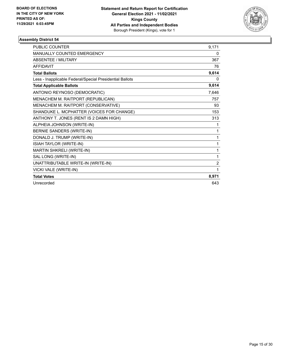

| <b>PUBLIC COUNTER</b>                                    | 9,171          |
|----------------------------------------------------------|----------------|
| MANUALLY COUNTED EMERGENCY                               | 0              |
| <b>ABSENTEE / MILITARY</b>                               | 367            |
| <b>AFFIDAVIT</b>                                         | 76             |
| <b>Total Ballots</b>                                     | 9,614          |
| Less - Inapplicable Federal/Special Presidential Ballots | 0              |
| <b>Total Applicable Ballots</b>                          | 9,614          |
| ANTONIO REYNOSO (DEMOCRATIC)                             | 7,646          |
| MENACHEM M. RAITPORT (REPUBLICAN)                        | 757            |
| MENACHEM M. RAITPORT (CONSERVATIVE)                      | 93             |
| SHANDUKE L. MCPHATTER (VOICES FOR CHANGE)                | 153            |
| ANTHONY T. JONES (RENT IS 2 DAMN HIGH)                   | 313            |
| ALPHEIA JOHNSON (WRITE-IN)                               | 1              |
| BERNIE SANDERS (WRITE-IN)                                | 1              |
| DONALD J. TRUMP (WRITE-IN)                               | 1              |
| ISIAH TAYLOR (WRITE-IN)                                  | 1              |
| MARTIN SHKRELI (WRITE-IN)                                | 1              |
| SAL LONG (WRITE-IN)                                      | 1              |
| UNATTRIBUTABLE WRITE-IN (WRITE-IN)                       | $\overline{2}$ |
| VICKI VALE (WRITE-IN)                                    | 1              |
| <b>Total Votes</b>                                       | 8,971          |
| Unrecorded                                               | 643            |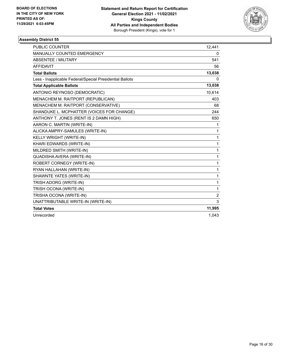

| PUBLIC COUNTER                                           | 12,441         |
|----------------------------------------------------------|----------------|
| MANUALLY COUNTED EMERGENCY                               | 0              |
| <b>ABSENTEE / MILITARY</b>                               | 541            |
| <b>AFFIDAVIT</b>                                         | 56             |
| <b>Total Ballots</b>                                     | 13,038         |
| Less - Inapplicable Federal/Special Presidential Ballots | 0              |
| <b>Total Applicable Ballots</b>                          | 13,038         |
| ANTONIO REYNOSO (DEMOCRATIC)                             | 10,614         |
| MENACHEM M. RAITPORT (REPUBLICAN)                        | 403            |
| MENACHEM M. RAITPORT (CONSERVATIVE)                      | 68             |
| SHANDUKE L. MCPHATTER (VOICES FOR CHANGE)                | 244            |
| ANTHONY T. JONES (RENT IS 2 DAMN HIGH)                   | 650            |
| AARON C. MARTIN (WRITE-IN)                               | 1              |
| ALICKA AMPRY-SAMULES (WRITE-IN)                          | 1              |
| <b>KELLY WRIGHT (WRITE-IN)</b>                           | 1              |
| KHARI EDWARDS (WRITE-IN)                                 | 1              |
| MILDRED SMITH (WRITE-IN)                                 | 1              |
| QUADISHA AVERA (WRITE-IN)                                | 1              |
| ROBERT CORNEGY (WRITE-IN)                                | 1              |
| RYAN HALLAHAN (WRITE-IN)                                 | 1              |
| SHAWNTE YATES (WRITE-IN)                                 | 1              |
| TRISH ADORG (WRITE-IN)                                   | 1              |
| TRISH OCONA (WRITE-IN)                                   | 1              |
| TRISHA OCONA (WRITE-IN)                                  | $\overline{2}$ |
| UNATTRIBUTABLE WRITE-IN (WRITE-IN)                       | 3              |
| <b>Total Votes</b>                                       | 11,995         |
| Unrecorded                                               | 1,043          |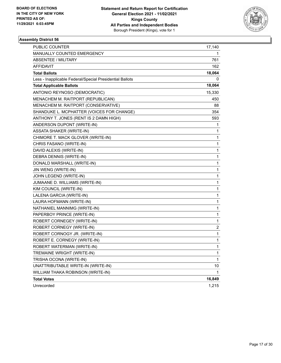

| PUBLIC COUNTER                                           | 17,140 |
|----------------------------------------------------------|--------|
| MANUALLY COUNTED EMERGENCY                               | 1      |
| <b>ABSENTEE / MILITARY</b>                               | 761    |
| <b>AFFIDAVIT</b>                                         | 162    |
| <b>Total Ballots</b>                                     | 18,064 |
| Less - Inapplicable Federal/Special Presidential Ballots | 0      |
| <b>Total Applicable Ballots</b>                          | 18,064 |
| ANTONIO REYNOSO (DEMOCRATIC)                             | 15,330 |
| MENACHEM M. RAITPORT (REPUBLICAN)                        | 450    |
| MENACHEM M. RAITPORT (CONSERVATIVE)                      | 88     |
| SHANDUKE L. MCPHATTER (VOICES FOR CHANGE)                | 354    |
| ANTHONY T. JONES (RENT IS 2 DAMN HIGH)                   | 593    |
| ANDERSON DUPONT (WRITE-IN)                               | 1      |
| ASSATA SHAKER (WRITE-IN)                                 | 1      |
| CHIMORE T. MACK GLOVER (WRITE-IN)                        | 1      |
| CHRIS FASANO (WRITE-IN)                                  | 1      |
| DAVID ALEXIS (WRITE-IN)                                  | 1      |
| DEBRA DENNIS (WRITE-IN)                                  | 1      |
| DONALD MARSHALL (WRITE-IN)                               | 1      |
| JIN WENG (WRITE-IN)                                      | 1      |
| JOHN LEGEND (WRITE-IN)                                   | 1      |
| JUMAANE D. WILLIAMS (WRITE-IN)                           | 1      |
| KIM COUNCIL (WRITE-IN)                                   | 1      |
| LALENA GARCIA (WRITE-IN)                                 | 1      |
| LAURA HOFMANN (WRITE-IN)                                 | 1      |
| NATHANIEL MANNIMG (WRITE-IN)                             | 1      |
| PAPERBOY PRINCE (WRITE-IN)                               | 1      |
| ROBERT CORNEGEY (WRITE-IN)                               | 1      |
| ROBERT CORNEGY (WRITE-IN)                                | 2      |
| ROBERT CORNOGY JR. (WRITE-IN)                            | 1      |
| ROBERT E. CORNEGY (WRITE-IN)                             | 1      |
| ROBERT WATERMAN (WRITE-IN)                               | 1      |
| TREMAINE WRIGHT (WRITE-IN)                               | 1      |
| TRISHA OCONA (WRITE-IN)                                  | 1      |
| UNATTRIBUTABLE WRITE-IN (WRITE-IN)                       | 10     |
| WILLIAM THAKA ROBINSON (WRITE-IN)                        | 1      |
| <b>Total Votes</b>                                       | 16,849 |
| Unrecorded                                               | 1,215  |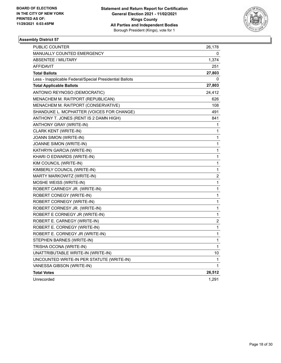

| PUBLIC COUNTER                                           | 26,178                  |
|----------------------------------------------------------|-------------------------|
| <b>MANUALLY COUNTED EMERGENCY</b>                        | 0                       |
| <b>ABSENTEE / MILITARY</b>                               | 1,374                   |
| AFFIDAVIT                                                | 251                     |
| <b>Total Ballots</b>                                     | 27,803                  |
| Less - Inapplicable Federal/Special Presidential Ballots | 0                       |
| <b>Total Applicable Ballots</b>                          | 27,803                  |
| ANTONIO REYNOSO (DEMOCRATIC)                             | 24,412                  |
| MENACHEM M. RAITPORT (REPUBLICAN)                        | 626                     |
| MENACHEM M. RAITPORT (CONSERVATIVE)                      | 108                     |
| SHANDUKE L. MCPHATTER (VOICES FOR CHANGE)                | 491                     |
| ANTHONY T. JONES (RENT IS 2 DAMN HIGH)                   | 841                     |
| ANTHONY GRAY (WRITE-IN)                                  | 1                       |
| CLARK KENT (WRITE-IN)                                    | 1                       |
| JOANN SIMON (WRITE-IN)                                   | 1                       |
| JOANNE SIMON (WRITE-IN)                                  | 1                       |
| KATHRYN GARCIA (WRITE-IN)                                | 1                       |
| KHARI O EDWARDS (WRITE-IN)                               | 1                       |
| KIM COUNCIL (WRITE-IN)                                   | 1                       |
| KIMBERLY COUNCIL (WRITE-IN)                              | 1                       |
| MARTY MARKOWITZ (WRITE-IN)                               | $\boldsymbol{2}$        |
| MOSHE WEISS (WRITE-IN)                                   | 1                       |
| ROBERT CARNEGY JR. (WRITE-IN)                            | 1                       |
| ROBERT CONEGY (WRITE-IN)                                 | 1                       |
| ROBERT CORNEGY (WRITE-IN)                                | 1                       |
| ROBERT CORNESY JR. (WRITE-IN)                            | 1                       |
| ROBERT E CORNEGY JR (WRITE-IN)                           | 1                       |
| ROBERT E. CARNEGY (WRITE-IN)                             | $\overline{\mathbf{c}}$ |
| ROBERT E. CORNEGY (WRITE-IN)                             | 1                       |
| ROBERT E. CORNEGY JR (WRITE-IN)                          | 1                       |
| STEPHEN BARNES (WRITE-IN)                                | 1                       |
| TRISHA OCONA (WRITE-IN)                                  | 1                       |
| UNATTRIBUTABLE WRITE-IN (WRITE-IN)                       | 10                      |
| UNCOUNTED WRITE-IN PER STATUTE (WRITE-IN)                | 1                       |
| VANESSA GIBSON (WRITE-IN)                                | 1                       |
| <b>Total Votes</b>                                       | 26,512                  |
| Unrecorded                                               | 1,291                   |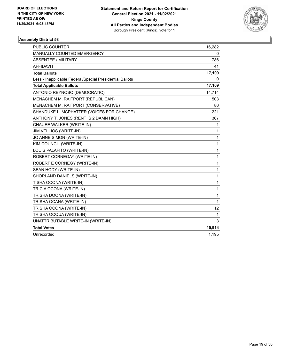

| <b>PUBLIC COUNTER</b>                                    | 16,282            |
|----------------------------------------------------------|-------------------|
| MANUALLY COUNTED EMERGENCY                               | 0                 |
| <b>ABSENTEE / MILITARY</b>                               | 786               |
| <b>AFFIDAVIT</b>                                         | 41                |
| <b>Total Ballots</b>                                     | 17,109            |
| Less - Inapplicable Federal/Special Presidential Ballots | 0                 |
| <b>Total Applicable Ballots</b>                          | 17,109            |
| ANTONIO REYNOSO (DEMOCRATIC)                             | 14,714            |
| MENACHEM M. RAITPORT (REPUBLICAN)                        | 503               |
| MENACHEM M. RAITPORT (CONSERVATIVE)                      | 80                |
| SHANDUKE L. MCPHATTER (VOICES FOR CHANGE)                | 221               |
| ANTHONY T. JONES (RENT IS 2 DAMN HIGH)                   | 367               |
| CHAUEE WALKER (WRITE-IN)                                 | 1                 |
| JIM VELLIOS (WRITE-IN)                                   | 1                 |
| JO ANNE SIMON (WRITE-IN)                                 | 1                 |
| KIM COUNCIL (WRITE-IN)                                   | 1                 |
| LOUIS PALAFITO (WRITE-IN)                                | 1                 |
| ROBERT CORNEGAY (WRITE-IN)                               | 1                 |
| ROBERT E CORNEGY (WRITE-IN)                              | 1                 |
| SEAN HODY (WRITE-IN)                                     | 1                 |
| SHORLAND DANIELS (WRITE-IN)                              | 1                 |
| TISHA OCONA (WRITE-IN)                                   | 1                 |
| TRICIA OCONA (WRITE-IN)                                  | 1                 |
| TRISHA DOONA (WRITE-IN)                                  | 1                 |
| TRISHA OCANA (WRITE-IN)                                  | 1                 |
| TRISHA OCONA (WRITE-IN)                                  | $12 \overline{ }$ |
| TRISHA OCOUA (WRITE-IN)                                  | 1                 |
| UNATTRIBUTABLE WRITE-IN (WRITE-IN)                       | 3                 |
| <b>Total Votes</b>                                       | 15,914            |
| Unrecorded                                               | 1,195             |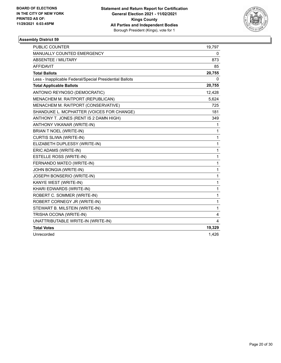

| <b>PUBLIC COUNTER</b>                                    | 19,797 |
|----------------------------------------------------------|--------|
| <b>MANUALLY COUNTED EMERGENCY</b>                        | 0      |
| <b>ABSENTEE / MILITARY</b>                               | 873    |
| <b>AFFIDAVIT</b>                                         | 85     |
| <b>Total Ballots</b>                                     | 20,755 |
| Less - Inapplicable Federal/Special Presidential Ballots | 0      |
| <b>Total Applicable Ballots</b>                          | 20,755 |
| ANTONIO REYNOSO (DEMOCRATIC)                             | 12,428 |
| MENACHEM M. RAITPORT (REPUBLICAN)                        | 5,624  |
| MENACHEM M. RAITPORT (CONSERVATIVE)                      | 725    |
| SHANDUKE L. MCPHATTER (VOICES FOR CHANGE)                | 181    |
| ANTHONY T. JONES (RENT IS 2 DAMN HIGH)                   | 349    |
| ANTHONY VIKANAR (WRITE-IN)                               | 1      |
| <b>BRIAN T NOEL (WRITE-IN)</b>                           | 1      |
| CURTIS SLIWA (WRITE-IN)                                  | 1      |
| ELIZABETH DUPLESSY (WRITE-IN)                            | 1      |
| ERIC ADAMS (WRITE-IN)                                    | 1      |
| <b>ESTELLE ROSS (WRITE-IN)</b>                           | 1      |
| FERNANDO MATEO (WRITE-IN)                                | 1      |
| JOHN BONGIA (WRITE-IN)                                   | 1      |
| JOSEPH BONSERIO (WRITE-IN)                               | 1      |
| KANYE WEST (WRITE-IN)                                    | 1      |
| KHARI EDWARDS (WRITE-IN)                                 | 1      |
| ROBERT C. SOMMER (WRITE-IN)                              | 1      |
| ROBERT CORNEGY JR (WRITE-IN)                             | 1      |
| STEWART B. MILSTEIN (WRITE-IN)                           | 1      |
| TRISHA OCONA (WRITE-IN)                                  | 4      |
| UNATTRIBUTABLE WRITE-IN (WRITE-IN)                       | 4      |
| <b>Total Votes</b>                                       | 19,329 |
| Unrecorded                                               | 1,426  |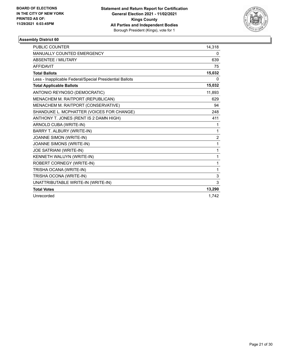

| <b>PUBLIC COUNTER</b>                                    | 14,318         |
|----------------------------------------------------------|----------------|
| <b>MANUALLY COUNTED EMERGENCY</b>                        | 0              |
| <b>ABSENTEE / MILITARY</b>                               | 639            |
| <b>AFFIDAVIT</b>                                         | 75             |
| <b>Total Ballots</b>                                     | 15,032         |
| Less - Inapplicable Federal/Special Presidential Ballots | 0              |
| <b>Total Applicable Ballots</b>                          | 15,032         |
| ANTONIO REYNOSO (DEMOCRATIC)                             | 11,893         |
| MENACHEM M. RAITPORT (REPUBLICAN)                        | 629            |
| MENACHEM M. RAITPORT (CONSERVATIVE)                      | 94             |
| SHANDUKE L. MCPHATTER (VOICES FOR CHANGE)                | 248            |
| ANTHONY T. JONES (RENT IS 2 DAMN HIGH)                   | 411            |
| ARNOLD CUBA (WRITE-IN)                                   | 1              |
| BARRY T. ALBURY (WRITE-IN)                               | 1              |
| JOANNE SIMON (WRITE-IN)                                  | $\overline{c}$ |
| JOANNE SIMONS (WRITE-IN)                                 | 1              |
| JOE SATRIANI (WRITE-IN)                                  | 1              |
| KENNETH WALUYN (WRITE-IN)                                | 1              |
| ROBERT CORNEGY (WRITE-IN)                                | 1              |
| TRISHA OCANA (WRITE-IN)                                  | $\mathbf{1}$   |
| TRISHA OCONA (WRITE-IN)                                  | 3              |
| UNATTRIBUTABLE WRITE-IN (WRITE-IN)                       | 3              |
| <b>Total Votes</b>                                       | 13,290         |
| Unrecorded                                               | 1,742          |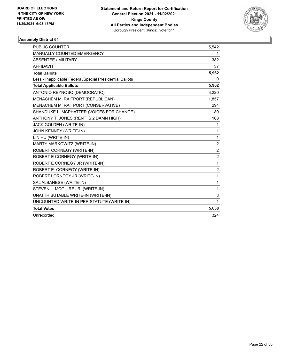

| PUBLIC COUNTER                                           | 5,542          |
|----------------------------------------------------------|----------------|
| <b>MANUALLY COUNTED EMERGENCY</b>                        | 1              |
| ABSENTEE / MILITARY                                      | 382            |
| <b>AFFIDAVIT</b>                                         | 37             |
| <b>Total Ballots</b>                                     | 5,962          |
| Less - Inapplicable Federal/Special Presidential Ballots | 0              |
| <b>Total Applicable Ballots</b>                          | 5,962          |
| ANTONIO REYNOSO (DEMOCRATIC)                             | 3,220          |
| MENACHEM M. RAITPORT (REPUBLICAN)                        | 1,857          |
| MENACHEM M. RAITPORT (CONSERVATIVE)                      | 294            |
| SHANDUKE L. MCPHATTER (VOICES FOR CHANGE)                | 80             |
| ANTHONY T. JONES (RENT IS 2 DAMN HIGH)                   | 168            |
| JACK GOLDEN (WRITE-IN)                                   | 1              |
| JOHN KENNEY (WRITE-IN)                                   | $\mathbf{1}$   |
| LIN HU (WRITE-IN)                                        | 1              |
| MARTY MARKOWITZ (WRITE-IN)                               | $\overline{2}$ |
| ROBERT CORNEGY (WRITE-IN)                                | $\overline{2}$ |
| ROBERT E CORNEGY (WRITE-IN)                              | $\overline{c}$ |
| ROBERT E CORNEGY JR (WRITE-IN)                           | 1              |
| ROBERT E. CORNEGY (WRITE-IN)                             | $\overline{c}$ |
| ROBERT LORNEGY JR (WRITE-IN)                             | $\mathbf{1}$   |
| SAL ALBANESE (WRITE-IN)                                  | $\mathbf{1}$   |
| STEVEN J. MCGUIRE JR. (WRITE-IN)                         | 1              |
| UNATTRIBUTABLE WRITE-IN (WRITE-IN)                       | 3              |
| UNCOUNTED WRITE-IN PER STATUTE (WRITE-IN)                | $\mathbf{1}$   |
| <b>Total Votes</b>                                       | 5,638          |
| Unrecorded                                               | 324            |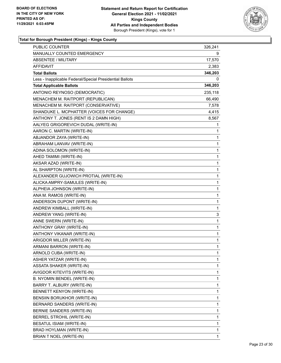

| PUBLIC COUNTER                                           | 326,241      |
|----------------------------------------------------------|--------------|
| <b>MANUALLY COUNTED EMERGENCY</b>                        | 9            |
| <b>ABSENTEE / MILITARY</b>                               | 17,570       |
| AFFIDAVIT                                                | 2,383        |
| <b>Total Ballots</b>                                     | 346,203      |
| Less - Inapplicable Federal/Special Presidential Ballots | 0            |
| <b>Total Applicable Ballots</b>                          | 346,203      |
| ANTONIO REYNOSO (DEMOCRATIC)                             | 235,118      |
| MENACHEM M. RAITPORT (REPUBLICAN)                        | 66,490       |
| MENACHEM M. RAITPORT (CONSERVATIVE)                      | 7,578        |
| SHANDUKE L. MCPHATTER (VOICES FOR CHANGE)                | 4,415        |
| ANTHONY T. JONES (RENT IS 2 DAMN HIGH)                   | 8,567        |
| AALYEG GRIGOREVICH DUDAL (WRITE-IN)                      | 1            |
| AARON C. MARTIN (WRITE-IN)                               | 1            |
| ABJANDOR ZAYA (WRITE-IN)                                 | 1            |
| ABRAHAM LANVAV (WRITE-IN)                                | 1            |
| ADINA SOLOMON (WRITE-IN)                                 | 1            |
| AHED TAMIMI (WRITE-IN)                                   | 1            |
| AKSAR AZAD (WRITE-IN)                                    | 1            |
| AL SHARPTON (WRITE-IN)                                   | $\mathbf{1}$ |
| ALEXANDER GUJOWICH PROTIAL (WRITE-IN)                    | 1            |
| ALICKA AMPRY-SAMULES (WRITE-IN)                          | 1            |
| ALPHEIA JOHNSON (WRITE-IN)                               | 1            |
| ANA M. RAMOS (WRITE-IN)                                  | 1            |
| ANDERSON DUPONT (WRITE-IN)                               | 1            |
| ANDREW KIMBALL (WRITE-IN)                                | 1            |
| ANDREW YANG (WRITE-IN)                                   | 3            |
| ANNE SWERN (WRITE-IN)                                    | $\mathbf{1}$ |
| ANTHONY GRAY (WRITE-IN)                                  | 1            |
| ANTHONY VIKANAR (WRITE-IN)                               | 1            |
| ARIGDOR MILLER (WRITE-IN)                                | 1            |
| ARMANI BARRON (WRITE-IN)                                 | $\mathbf{1}$ |
| ARNOLD CUBA (WRITE-IN)                                   | 1            |
| ASHER YATZAR (WRITE-IN)                                  | 1            |
| ASSATA SHAKER (WRITE-IN)                                 | 1            |
| AVIGDOR KITEVITS (WRITE-IN)                              | 1            |
| B. NYOMIN BENDEL (WRITE-IN)                              | 1            |
| BARRY T. ALBURY (WRITE-IN)                               | 1            |
| BENNETT KENYON (WRITE-IN)                                | 1            |
| BENSIIN BORUKHOR (WRITE-IN)                              | 1            |
| BERNARD SANDERS (WRITE-IN)                               | 1            |
| BERNIE SANDERS (WRITE-IN)                                | 1            |
| BERREL STROHIL (WRITE-IN)                                | 1            |
| BESATUL ISIAM (WRITE-IN)                                 | 1            |
| BRAD HOYLMAN (WRITE-IN)                                  | 1            |
| BRIAN T NOEL (WRITE-IN)                                  | 1            |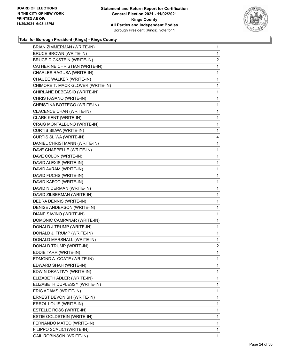

| BRIAN ZIMMERMAN (WRITE-IN)        | $\mathbf{1}$   |
|-----------------------------------|----------------|
| <b>BRUCE BROWN (WRITE-IN)</b>     | $\mathbf{1}$   |
| <b>BRUCE DICKSTEIN (WRITE-IN)</b> | $\overline{2}$ |
| CATHERINE CHRISTIAN (WRITE-IN)    | 1              |
| CHARLES RAGUSA (WRITE-IN)         | $\mathbf{1}$   |
| CHAUEE WALKER (WRITE-IN)          | $\mathbf{1}$   |
| CHIMORE T. MACK GLOVER (WRITE-IN) | 1              |
| CHIRLANE DEBEASIO (WRITE-IN)      | $\mathbf{1}$   |
| CHRIS FASANO (WRITE-IN)           | $\mathbf{1}$   |
| CHRISTINA BOTTEGO (WRITE-IN)      | 1              |
| CLACENCE CHAN (WRITE-IN)          | 1              |
| CLARK KENT (WRITE-IN)             | $\mathbf{1}$   |
| CRAIG MONTALBUNO (WRITE-IN)       | 1              |
| CURTIS SILWA (WRITE-IN)           | $\mathbf{1}$   |
| CURTIS SLIWA (WRITE-IN)           | 4              |
| DANIEL CHRISTMANN (WRITE-IN)      | 1              |
| DAVE CHAPPELLE (WRITE-IN)         | 1              |
| DAVE COLON (WRITE-IN)             | $\mathbf{1}$   |
| DAVID ALEXIS (WRITE-IN)           | 1              |
| DAVID AVRAM (WRITE-IN)            | $\mathbf{1}$   |
| DAVID FUCHS (WRITE-IN)            | $\mathbf{1}$   |
| DAVID KAFCO (WRITE-IN)            | 1              |
| DAVID NIDERMAN (WRITE-IN)         | 1              |
| DAVID ZILBERMAN (WRITE-IN)        | $\mathbf{1}$   |
| DEBRA DENNIS (WRITE-IN)           | 1              |
| DENISE ANDERSON (WRITE-IN)        | $\mathbf{1}$   |
| DIANE SAVINO (WRITE-IN)           | $\mathbf{1}$   |
| DOMONIC CAMPANAR (WRITE-IN)       | 1              |
| DONALD J TRUMP (WRITE-IN)         | 1              |
| DONALD J. TRUMP (WRITE-IN)        | $\mathbf{1}$   |
| DONALD MARSHALL (WRITE-IN)        | 1              |
| DONALD TRUMP (WRITE-IN)           | $\overline{2}$ |
| EDDIE TARR (WRITE-IN)             | 1              |
| EDMOND A. COATE (WRITE-IN)        | 1              |
| EDWARD SHAH (WRITE-IN)            | $\mathbf{1}$   |
| EDWIN DRANTIVY (WRITE-IN)         | 1              |
| ELIZABETH ADLER (WRITE-IN)        | 1              |
| ELIZABETH DUPLESSY (WRITE-IN)     | $\mathbf{1}$   |
| ERIC ADAMS (WRITE-IN)             | 1              |
| ERNEST DEVONISH (WRITE-IN)        | 1              |
| ERROL LOUIS (WRITE-IN)            | $\mathbf{1}$   |
| ESTELLE ROSS (WRITE-IN)           | 1              |
| ESTIE GOLDSTEIN (WRITE-IN)        | 1              |
| FERNANDO MATEO (WRITE-IN)         | $\mathbf{1}$   |
| FILIPPO SCALICI (WRITE-IN)        | 1              |
| <b>GAIL ROBINSON (WRITE-IN)</b>   | 1              |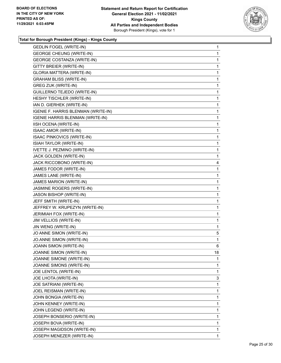

| <b>GEDLIN FOGEL (WRITE-IN)</b>      | 1  |
|-------------------------------------|----|
| <b>GEORGE CHEUNG (WRITE-IN)</b>     | 1  |
| <b>GEORGE COSTANZA (WRITE-IN)</b>   | 1  |
| GITTY BREIER (WRITE-IN)             | 1  |
| <b>GLORIA MATTERA (WRITE-IN)</b>    | 1  |
| <b>GRAHAM BLISS (WRITE-IN)</b>      | 1  |
| <b>GREG ZUK (WRITE-IN)</b>          | 1  |
| GUILLERNO TEJEDO (WRITE-IN)         | 1  |
| HESHY TISCHLER (WRITE-IN)           | 1  |
| IAN D. GIERHEK (WRITE-IN)           | 1  |
| IGENIE F. HARRIS BLENMAN (WRITE-IN) | 1  |
| IGENIE HARRIS BLENMAN (WRITE-IN)    | 1  |
| IISH OCENA (WRITE-IN)               | 1  |
| ISAAC AMOR (WRITE-IN)               | 1  |
| <b>ISAAC PINKOVICS (WRITE-IN)</b>   | 1  |
| ISIAH TAYLOR (WRITE-IN)             | 1  |
| IVETTE J. PEZMINO (WRITE-IN)        | 1  |
| JACK GOLDEN (WRITE-IN)              | 1  |
| JACK RICCOBONO (WRITE-IN)           | 4  |
| JAMES FODOR (WRITE-IN)              | 1  |
| JAMES LANE (WRITE-IN)               | 1  |
| JAMES MARION (WRITE-IN)             | 1  |
| JASMINE ROGERS (WRITE-IN)           | 1  |
| JASON BISHOP (WRITE-IN)             | 1  |
| JEFF SMITH (WRITE-IN)               | 1  |
| JEFFREY W. KRUPEZYN (WRITE-IN)      | 1  |
| JERIMIAH FOX (WRITE-IN)             | 1  |
| JIM VELLIOS (WRITE-IN)              | 1  |
| JIN WENG (WRITE-IN)                 | 1  |
| JO ANNE SIMON (WRITE-IN)            | 5  |
| JO.ANNE SIMON (WRITE-IN)            | 1  |
| JOANN SIMON (WRITE-IN)              | 6  |
| JOANNE SIMON (WRITE-IN)             | 18 |
| JOANNE SIMONE (WRITE-IN)            | 1  |
| JOANNE SIMONS (WRITE-IN)            | 1  |
| JOE LENTOL (WRITE-IN)               | 1  |
| JOE LHOTA (WRITE-IN)                | 3  |
| JOE SATRIANI (WRITE-IN)             | 1  |
| JOEL REISMAN (WRITE-IN)             | 1  |
| JOHN BONGIA (WRITE-IN)              | 1  |
| JOHN KENNEY (WRITE-IN)              | 1  |
| JOHN LEGEND (WRITE-IN)              | 1  |
| JOSEPH BONSERIO (WRITE-IN)          | 1  |
| JOSEPH BOVA (WRITE-IN)              | 1  |
| JOSEPH MAGIDSON (WRITE-IN)          | 1  |
| JOSEPH MENEZER (WRITE-IN)           | 1  |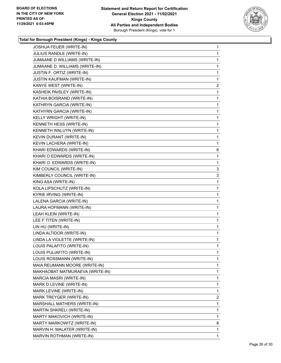

| JOSHUA FEUER (WRITE-IN)          | $\mathbf{1}$   |
|----------------------------------|----------------|
| JULIUS RANDLE (WRITE-IN)         | 1.             |
| JUMAANE D WILLIAMS (WRITE-IN)    | 1              |
| JUMAANE D. WILLIAMS (WRITE-IN)   | 1              |
| JUSTIN F. ORTIZ (WRITE-IN)       | 1              |
| <b>JUSTIN KAUFMAN (WRITE-IN)</b> | 1              |
| KANYE WEST (WRITE-IN)            | $\overline{2}$ |
| KASHEIK PAISLEY (WRITE-IN)       | 1              |
| KATHIA BOISRAND (WRITE-IN)       | 1              |
| KATHRYN GARCIA (WRITE-IN)        | 1              |
| KATHYRN GARCIA (WRITE-IN)        | 1              |
| KELLY WRIGHT (WRITE-IN)          | 1              |
| KENNETH HESS (WRITE-IN)          | 1              |
| KENNETH WALUYN (WRITE-IN)        | 1              |
| KEVIN DURANT (WRITE-IN)          | 1              |
| KEVIN LACHERA (WRITE-IN)         | 1              |
| KHARI EDWARDS (WRITE-IN)         | 6              |
| KHARI O EDWARDS (WRITE-IN)       | 1              |
| KHARI O. EDWARDS (WRITE-IN)      | 1              |
| KIM COUNCIL (WRITE-IN)           | 3              |
| KIMBERLY COUNCIL (WRITE-IN)      | 3              |
| KING ASA (WRITE-IN)              | 1              |
| KOLA LIPSCHUTZ (WRITE-IN)        | 1              |
| KYRIE IRVING (WRITE-IN)          | 1              |
| LALENA GARCIA (WRITE-IN)         | 1              |
| LAURA HOFMANN (WRITE-IN)         | 1              |
| LEAH KLEIN (WRITE-IN)            | 1              |
| LEE F TITEN (WRITE-IN)           | 1              |
| LIN HU (WRITE-IN)                | 1              |
| LINDA ALTIDOR (WRITE-IN)         | $\mathbf{1}$   |
| LINDA LA VIOLETTE (WRITE-IN)     | $\mathbf{1}$   |
| LOUIS PALAFITO (WRITE-IN)        | 1              |
| LOUIS PULIAFITO (WRITE-IN)       | 1              |
| LOUIS ROSSMANN (WRITE-IN)        | 1              |
| MAIA REUMANN MOORE (WRITE-IN)    | 1              |
| MAKHAOBAT MATMURAEVA (WRITE-IN)  | 1              |
| MARCIA MASRI (WRITE-IN)          | 1              |
| MARK D LEVINE (WRITE-IN)         | 1              |
| MARK LEVINE (WRITE-IN)           | 1              |
| MARK TREYGER (WRITE-IN)          | 2              |
| MARSHALL MATHERS (WRITE-IN)      | 1              |
| MARTIN SHKRELI (WRITE-IN)        | 1              |
| MARTY MAKOVICH (WRITE-IN)        | 1              |
| MARTY MARKOWITZ (WRITE-IN)       | 8              |
| MARVIN H. MALATER (WRITE-IN)     | 1              |
| MARVIN ROTHMAN (WRITE-IN)        | 1              |
|                                  |                |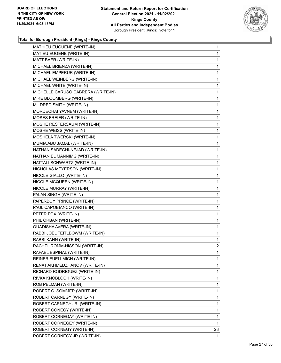

| MATHIEU EUGUENE (WRITE-IN)         | 1              |
|------------------------------------|----------------|
| MATIEU EUGENE (WRITE-IN)           | 1              |
| MATT BAER (WRITE-IN)               | 1              |
| MICHAEL BRIENZA (WRITE-IN)         | 1              |
| MICHAEL EMPERUR (WRITE-IN)         | 1              |
| MICHAEL WEINBERG (WRITE-IN)        | 1              |
| MICHAEL WHITE (WRITE-IN)           | 1              |
| MICHELLE CARUSO CABRERA (WRITE-IN) | 1              |
| MIKE BLOOMBERG (WRITE-IN)          | 1              |
| MILDRED SMITH (WRITE-IN)           | 1              |
| MORDECHAI YAVNEM (WRITE-IN)        | 1              |
| MOSES FREIER (WRITE-IN)            | 1              |
| MOSHE RESTERSAUM (WRITE-IN)        | 1              |
| MOSHE WEISS (WRITE-IN)             | 1              |
| MOSHELA TWERSKI (WRITE-IN)         | 1              |
| MUMIA ABU JAMAL (WRITE-IN)         | 1              |
| NATHAN SADEGHI-NEJAD (WRITE-IN)    | 1              |
| NATHANIEL MANNIMG (WRITE-IN)       | 1              |
| NATTALI SCHWARTZ (WRITE-IN)        | 1              |
| NICHOLAS MEYERSON (WRITE-IN)       | 1              |
| NICOLE GIALLO (WRITE-IN)           | 1              |
| NICOLE MCQUEEN (WRITE-IN)          | 1              |
| NICOLE MURRAY (WRITE-IN)           | 1              |
| PALAN SINGH (WRITE-IN)             | 1              |
| PAPERBOY PRINCE (WRITE-IN)         | 1              |
| PAUL CAPOBIANCO (WRITE-IN)         | 1              |
| PETER FOX (WRITE-IN)               | 1              |
| PHIL ORBAN (WRITE-IN)              | 1              |
| QUADISHA AVERA (WRITE-IN)          | 1              |
| RABBI JOEL TEITLBOWM (WRITE-IN)    | 1              |
| RABBI KAHN (WRITE-IN)              | 1              |
| RACHEL ROMM-NISSON (WRITE-IN)      | $\overline{c}$ |
| RAFAEL ESPINAL (WRITE-IN)          | 1              |
| REINER FUELLMICH (WRITE-IN)        | 1              |
| RENAT AKHMEDZHANOV (WRITE-IN)      | 1              |
| RICHARD RODRIGUEZ (WRITE-IN)       | 1              |
| RIVKA KNOBLOCH (WRITE-IN)          | 1              |
| ROB PELMAN (WRITE-IN)              | 1              |
| ROBERT C. SOMMER (WRITE-IN)        | 1              |
| ROBERT CARNEGY (WRITE-IN)          | 1              |
| ROBERT CARNEGY JR. (WRITE-IN)      | 1              |
| ROBERT CONEGY (WRITE-IN)           | 1              |
| ROBERT CORNEGAY (WRITE-IN)         | 1              |
| ROBERT CORNEGEY (WRITE-IN)         | $\mathbf{1}$   |
| ROBERT CORNEGY (WRITE-IN)          | 23             |
| ROBERT CORNEGY JR (WRITE-IN)       | 1              |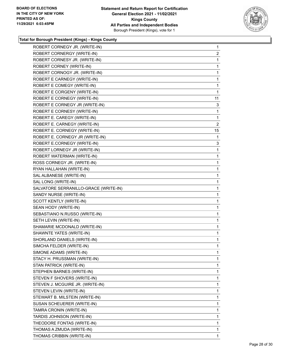

| ROBERT CORNEGY JR. (WRITE-IN)         | $\mathbf{1}$   |
|---------------------------------------|----------------|
| ROBERT CORNERGY (WRITE-IN)            | $\overline{2}$ |
| ROBERT CORNESY JR. (WRITE-IN)         | 1              |
| ROBERT CORNEY (WRITE-IN)              | 1              |
| ROBERT CORNOGY JR. (WRITE-IN)         | 1              |
| ROBERT E CARNEGY (WRITE-IN)           | 1              |
| ROBERT E COMEGY (WRITE-IN)            | 1              |
| ROBERT E CORGENY (WRITE-IN)           | 1              |
| ROBERT E CORNEGY (WRITE-IN)           | 11             |
| ROBERT E CORNEGY JR (WRITE-IN)        | 3              |
| ROBERT E CORNESY (WRITE-IN)           | 1              |
| ROBERT E. CAREGY (WRITE-IN)           | 1              |
| ROBERT E. CARNEGY (WRITE-IN)          | $\overline{2}$ |
| ROBERT E. CORNEGY (WRITE-IN)          | 15             |
| ROBERT E. CORNEGY JR (WRITE-IN)       | 1              |
| ROBERT E.CORNEGY (WRITE-IN)           | 3              |
| ROBERT LORNEGY JR (WRITE-IN)          | 1              |
| ROBERT WATERMAN (WRITE-IN)            | 1              |
| ROSS CORNEGY JR. (WRITE-IN)           | 1              |
| RYAN HALLAHAN (WRITE-IN)              | 1              |
| SAL ALBANESE (WRITE-IN)               | 1              |
| SAL LONG (WRITE-IN)                   | 1              |
| SALVATORE SERRANILLO-GRACE (WRITE-IN) | 1              |
| SANDY NURSE (WRITE-IN)                | 1              |
| SCOTT KENTLY (WRITE-IN)               | 1              |
| SEAN HODY (WRITE-IN)                  | 1              |
| SEBASTIANO N.RUSSO (WRITE-IN)         | 1              |
| SETH LEVIN (WRITE-IN)                 | 1              |
| SHAMARIE MCDONALD (WRITE-IN)          | 1              |
| SHAWNTE YATES (WRITE-IN)              | $\mathbf{1}$   |
| SHORLAND DANIELS (WRITE-IN)           | 1              |
| SIMCHA FELDER (WRITE-IN)              | 1              |
| SIMONE ADAMS (WRITE-IN)               | 1              |
| STACY H. PRUSSMAN (WRITE-IN)          | 1              |
| STAN PATRICK (WRITE-IN)               | 1              |
| STEPHEN BARNES (WRITE-IN)             | 1              |
| STEVEN F SHOVERS (WRITE-IN)           | 1              |
| STEVEN J. MCGUIRE JR. (WRITE-IN)      | 1              |
| STEVEN LEVIN (WRITE-IN)               | 1              |
| STEWART B. MILSTEIN (WRITE-IN)        | 1              |
| SUSAN SCHEUERER (WRITE-IN)            | 1              |
| TAMRA CRONIN (WRITE-IN)               | 1              |
| TARDIS JOHNSON (WRITE-IN)             | 1              |
| THEODORE FONTAS (WRITE-IN)            | 1              |
| THOMAS A ZMUDA (WRITE-IN)             | 1              |
| THOMAS CRIBBIN (WRITE-IN)             | 1              |
|                                       |                |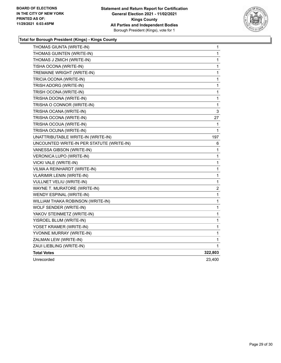

| THOMAS GIUNTA (WRITE-IN)                  | 1            |
|-------------------------------------------|--------------|
| THOMAS GUINTEN (WRITE-IN)                 | 1            |
| THOMAS J ZMICH (WRITE-IN)                 | 1            |
| TISHA OCONA (WRITE-IN)                    | $\mathbf{1}$ |
| TREMAINE WRIGHT (WRITE-IN)                | 1            |
| TRICIA OCONA (WRITE-IN)                   | $\mathbf 1$  |
| TRISH ADORG (WRITE-IN)                    | 1            |
| TRISH OCONA (WRITE-IN)                    | 1            |
| TRISHA DOONA (WRITE-IN)                   | 1            |
| TRISHA O CONNOR (WRITE-IN)                | 1            |
| TRISHA OCANA (WRITE-IN)                   | 3            |
| TRISHA OCONA (WRITE-IN)                   | 27           |
| TRISHA OCOUA (WRITE-IN)                   | 1            |
| TRISHA OCUNA (WRITE-IN)                   | 1            |
| UNATTRIBUTABLE WRITE-IN (WRITE-IN)        | 197          |
| UNCOUNTED WRITE-IN PER STATUTE (WRITE-IN) | 6            |
| VANESSA GIBSON (WRITE-IN)                 | 1            |
| VERONICA LUPO (WRITE-IN)                  | 1            |
| VICKI VALE (WRITE-IN)                     | 1            |
| VILMA A REINHARDT (WRITE-IN)              | 1            |
| <b>VLARIMIR LENIN (WRITE-IN)</b>          | 1            |
| VULLNET VELIU (WRITE-IN)                  | 1            |
| WAYNE T. MURATORE (WRITE-IN)              | 2            |
| WENDY ESPINAL (WRITE-IN)                  | 1            |
| WILLIAM THAKA ROBINSON (WRITE-IN)         | 1            |
| WOLF SENDER (WRITE-IN)                    | 1            |
| YAKOV STEINMETZ (WRITE-IN)                | 1            |
| YISROEL BLUM (WRITE-IN)                   | 1            |
| YOSET KRAMER (WRITE-IN)                   | 1            |
| YVONNE MURRAY (WRITE-IN)                  | 1            |
| ZALMAN LEW (WRITE-IN)                     | 1            |
| ZAUI LIEBLING (WRITE-IN)                  | 1            |
| <b>Total Votes</b>                        | 322,803      |
| Unrecorded                                | 23,400       |